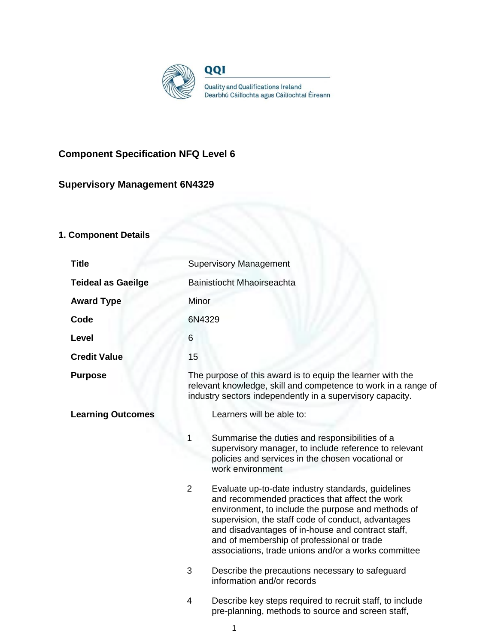

# **Component Specification NFQ Level 6**

# **Supervisory Management 6N4329**

# **1. Component Details**

| <b>Title</b>              | <b>Supervisory Management</b>                                                                                                                                                                                                                                                                                                                                                                |  |  |
|---------------------------|----------------------------------------------------------------------------------------------------------------------------------------------------------------------------------------------------------------------------------------------------------------------------------------------------------------------------------------------------------------------------------------------|--|--|
| <b>Teideal as Gaeilge</b> | Bainistíocht Mhaoirseachta                                                                                                                                                                                                                                                                                                                                                                   |  |  |
| <b>Award Type</b>         | Minor                                                                                                                                                                                                                                                                                                                                                                                        |  |  |
| Code                      | 6N4329                                                                                                                                                                                                                                                                                                                                                                                       |  |  |
| Level                     | 6                                                                                                                                                                                                                                                                                                                                                                                            |  |  |
| <b>Credit Value</b>       | 15                                                                                                                                                                                                                                                                                                                                                                                           |  |  |
| <b>Purpose</b>            | The purpose of this award is to equip the learner with the<br>relevant knowledge, skill and competence to work in a range of<br>industry sectors independently in a supervisory capacity.                                                                                                                                                                                                    |  |  |
| <b>Learning Outcomes</b>  | Learners will be able to:                                                                                                                                                                                                                                                                                                                                                                    |  |  |
|                           | Summarise the duties and responsibilities of a<br>1<br>supervisory manager, to include reference to relevant<br>policies and services in the chosen vocational or<br>work environment                                                                                                                                                                                                        |  |  |
|                           | $\overline{2}$<br>Evaluate up-to-date industry standards, guidelines<br>and recommended practices that affect the work<br>environment, to include the purpose and methods of<br>supervision, the staff code of conduct, advantages<br>and disadvantages of in-house and contract staff,<br>and of membership of professional or trade<br>associations, trade unions and/or a works committee |  |  |
|                           | 3<br>Describe the precautions necessary to safeguard<br>information and/or records                                                                                                                                                                                                                                                                                                           |  |  |
|                           | 4<br>Describe key steps required to recruit staff, to include<br>pre-planning, methods to source and screen staff,                                                                                                                                                                                                                                                                           |  |  |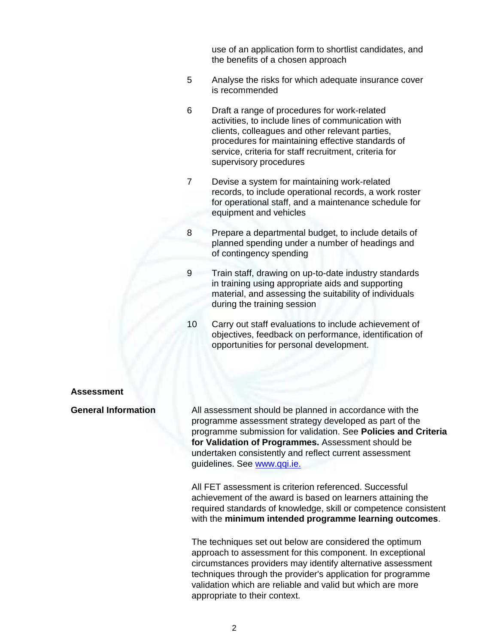use of an application form to shortlist candidates, and the benefits of a chosen approach

- 5 Analyse the risks for which adequate insurance cover is recommended
- 6 Draft a range of procedures for work-related activities, to include lines of communication with clients, colleagues and other relevant parties, procedures for maintaining effective standards of service, criteria for staff recruitment, criteria for supervisory procedures
- 7 Devise a system for maintaining work-related records, to include operational records, a work roster for operational staff, and a maintenance schedule for equipment and vehicles
- 8 Prepare a departmental budget, to include details of planned spending under a number of headings and of contingency spending
- 9 Train staff, drawing on up-to-date industry standards in training using appropriate aids and supporting material, and assessing the suitability of individuals during the training session
- 10 Carry out staff evaluations to include achievement of objectives, feedback on performance, identification of opportunities for personal development.

#### **Assessment**

**General Information** All assessment should be planned in accordance with the programme assessment strategy developed as part of the programme submission for validation. See **Policies and Criteria for Validation of Programmes.** Assessment should be undertaken consistently and reflect current assessment guidelines. See [www.qqi.ie.](http://www.qqi.ie/) 

> All FET assessment is criterion referenced. Successful achievement of the award is based on learners attaining the required standards of knowledge, skill or competence consistent with the **minimum intended programme learning outcomes**.

The techniques set out below are considered the optimum approach to assessment for this component. In exceptional circumstances providers may identify alternative assessment techniques through the provider's application for programme validation which are reliable and valid but which are more appropriate to their context.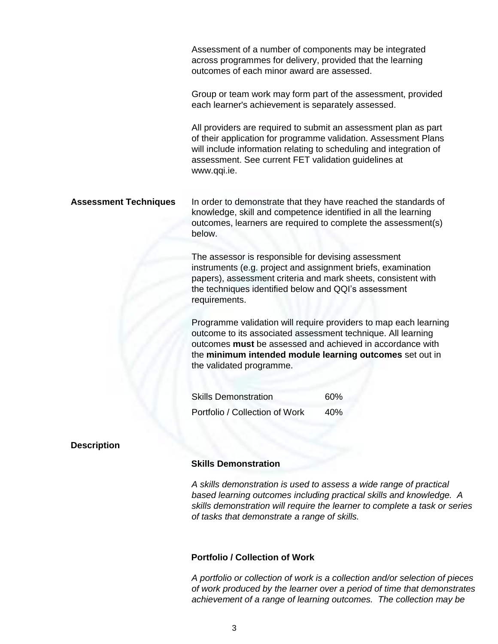Assessment of a number of components may be integrated across programmes for delivery, provided that the learning outcomes of each minor award are assessed.

Group or team work may form part of the assessment, provided each learner's achievement is separately assessed.

All providers are required to submit an assessment plan as part of their application for programme validation. Assessment Plans will include information relating to scheduling and integration of assessment. See current FET validation guidelines at [www.qqi.ie.](http://www.qqi.ie/)

**Assessment Techniques** In order to demonstrate that they have reached the standards of knowledge, skill and competence identified in all the learning outcomes, learners are required to complete the assessment(s) below.

> The assessor is responsible for devising assessment instruments (e.g. project and assignment briefs, examination papers), assessment criteria and mark sheets, consistent with the techniques identified below and QQI's assessment requirements.

Programme validation will require providers to map each learning outcome to its associated assessment technique. All learning outcomes **must** be assessed and achieved in accordance with the **minimum intended module learning outcomes** set out in the validated programme.

Skills Demonstration 60% Portfolio / Collection of Work 40%

### **Description**

#### **Skills Demonstration**

*A skills demonstration is used to assess a wide range of practical based learning outcomes including practical skills and knowledge. A skills demonstration will require the learner to complete a task or series of tasks that demonstrate a range of skills.*

### **Portfolio / Collection of Work**

*A portfolio or collection of work is a collection and/or selection of pieces of work produced by the learner over a period of time that demonstrates achievement of a range of learning outcomes. The collection may be*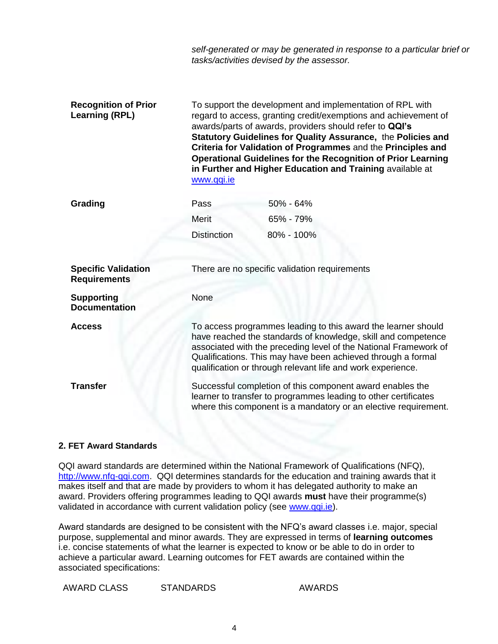*self-generated or may be generated in response to a particular brief or tasks/activities devised by the assessor.*

| <b>Recognition of Prior</b><br><b>Learning (RPL)</b> | To support the development and implementation of RPL with<br>regard to access, granting credit/exemptions and achievement of<br>awards/parts of awards, providers should refer to QQI's<br>Statutory Guidelines for Quality Assurance, the Policies and<br>Criteria for Validation of Programmes and the Principles and<br><b>Operational Guidelines for the Recognition of Prior Learning</b><br>in Further and Higher Education and Training available at<br>www.qqi.ie |            |
|------------------------------------------------------|---------------------------------------------------------------------------------------------------------------------------------------------------------------------------------------------------------------------------------------------------------------------------------------------------------------------------------------------------------------------------------------------------------------------------------------------------------------------------|------------|
| Grading                                              | Pass                                                                                                                                                                                                                                                                                                                                                                                                                                                                      | 50% - 64%  |
|                                                      | Merit                                                                                                                                                                                                                                                                                                                                                                                                                                                                     | 65% - 79%  |
|                                                      | <b>Distinction</b>                                                                                                                                                                                                                                                                                                                                                                                                                                                        | 80% - 100% |
|                                                      |                                                                                                                                                                                                                                                                                                                                                                                                                                                                           |            |
| <b>Specific Validation</b><br><b>Requirements</b>    | There are no specific validation requirements                                                                                                                                                                                                                                                                                                                                                                                                                             |            |
| <b>Supporting</b><br><b>Documentation</b>            | None                                                                                                                                                                                                                                                                                                                                                                                                                                                                      |            |
| <b>Access</b>                                        | To access programmes leading to this award the learner should<br>have reached the standards of knowledge, skill and competence<br>associated with the preceding level of the National Framework of<br>Qualifications. This may have been achieved through a formal<br>qualification or through relevant life and work experience.                                                                                                                                         |            |
| <b>Transfer</b>                                      | Successful completion of this component award enables the<br>learner to transfer to programmes leading to other certificates<br>where this component is a mandatory or an elective requirement.                                                                                                                                                                                                                                                                           |            |

## **2. FET Award Standards**

QQI award standards are determined within the National Framework of Qualifications (NFQ), [http://www.nfq-qqi.com.](http://www.nfq-qqi.com/) QQI determines standards for the education and training awards that it makes itself and that are made by providers to whom it has delegated authority to make an award. Providers offering programmes leading to QQI awards **must** have their programme(s) validated in accordance with current validation policy (see [www.qqi.ie\)](http://www.qqi.ie/).

Award standards are designed to be consistent with the NFQ's award classes i.e. major, special purpose, supplemental and minor awards. They are expressed in terms of **learning outcomes**  i.e. concise statements of what the learner is expected to know or be able to do in order to achieve a particular award. Learning outcomes for FET awards are contained within the associated specifications:

AWARD CLASS STANDARDS AWARDS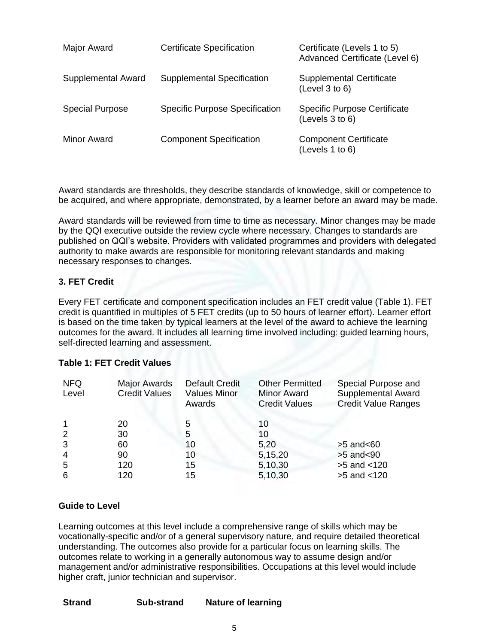| Major Award            | <b>Certificate Specification</b>      | Certificate (Levels 1 to 5)<br>Advanced Certificate (Level 6) |
|------------------------|---------------------------------------|---------------------------------------------------------------|
| Supplemental Award     | <b>Supplemental Specification</b>     | <b>Supplemental Certificate</b><br>(Level 3 to 6)             |
| <b>Special Purpose</b> | <b>Specific Purpose Specification</b> | <b>Specific Purpose Certificate</b><br>(Levels 3 to 6)        |
| Minor Award            | <b>Component Specification</b>        | <b>Component Certificate</b><br>(Levels $1$ to $6$ )          |

Award standards are thresholds, they describe standards of knowledge, skill or competence to be acquired, and where appropriate, demonstrated, by a learner before an award may be made.

Award standards will be reviewed from time to time as necessary. Minor changes may be made by the QQI executive outside the review cycle where necessary. Changes to standards are published on QQI's website. Providers with validated programmes and providers with delegated authority to make awards are responsible for monitoring relevant standards and making necessary responses to changes.

## **3. FET Credit**

Every FET certificate and component specification includes an FET credit value (Table 1). FET credit is quantified in multiples of 5 FET credits (up to 50 hours of learner effort). Learner effort is based on the time taken by typical learners at the level of the award to achieve the learning outcomes for the award. It includes all learning time involved including: guided learning hours, self-directed learning and assessment.

### **Table 1: FET Credit Values**

| <b>NFQ</b><br>Level | <b>Major Awards</b><br><b>Credit Values</b> | <b>Default Credit</b><br><b>Values Minor</b><br>Awards | <b>Other Permitted</b><br><b>Minor Award</b><br><b>Credit Values</b> | Special Purpose and<br>Supplemental Award<br><b>Credit Value Ranges</b> |
|---------------------|---------------------------------------------|--------------------------------------------------------|----------------------------------------------------------------------|-------------------------------------------------------------------------|
|                     | 20                                          | 5                                                      | 10                                                                   |                                                                         |
| 2                   | 30                                          | 5                                                      | 10                                                                   |                                                                         |
| 3                   | 60                                          | 10                                                     | 5,20                                                                 | $>5$ and $< 60$                                                         |
| $\overline{4}$      | 90                                          | 10                                                     | 5,15,20                                                              | $>5$ and $<$ 90                                                         |
| -5                  | 120                                         | 15                                                     | 5,10,30                                                              | $>5$ and $< 120$                                                        |
| 6                   | 120                                         | 15                                                     | 5,10,30                                                              | >5 and <120                                                             |

## **Guide to Level**

Learning outcomes at this level include a comprehensive range of skills which may be vocationally-specific and/or of a general supervisory nature, and require detailed theoretical understanding. The outcomes also provide for a particular focus on learning skills. The outcomes relate to working in a generally autonomous way to assume design and/or management and/or administrative responsibilities. Occupations at this level would include higher craft, junior technician and supervisor.

| <b>Strand</b> | Sub-strand | <b>Nature of learning</b> |
|---------------|------------|---------------------------|
|---------------|------------|---------------------------|